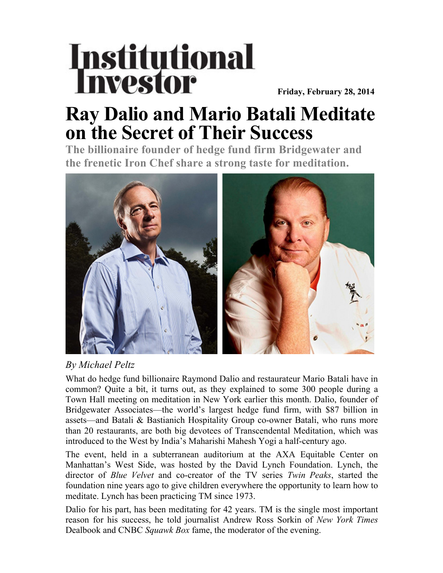## **Institutional** Investor

 **Friday, February 28, 2014**

## **Ray Dalio and Mario Batali Meditate on the Secret of Their Success**

**The billionaire founder of hedge fund firm Bridgewater and the frenetic Iron Chef share a strong taste for meditation.**



## *By Michael Peltz*

What do hedge fund billionaire Raymond Dalio and restaurateur Mario Batali have in common? Quite a bit, it turns out, as they explained to some 300 people during a Town Hall meeting on meditation in New York earlier this month. Dalio, founder of Bridgewater Associates—the world's largest hedge fund firm, with \$87 billion in assets—and Batali & Bastianich Hospitality Group co-owner Batali, who runs more than 20 restaurants, are both big devotees of Transcendental Meditation, which was introduced to the West by India's Maharishi Mahesh Yogi a half-century ago.

The event, held in a subterranean auditorium at the AXA Equitable Center on Manhattan's West Side, was hosted by the David Lynch Foundation. Lynch, the director of *Blue Velvet* and co-creator of the TV series *Twin Peaks*, started the foundation nine years ago to give children everywhere the opportunity to learn how to meditate. Lynch has been practicing TM since 1973.

Dalio for his part, has been meditating for 42 years. TM is the single most important reason for his success, he told journalist Andrew Ross Sorkin of *New York Times* Dealbook and CNBC *Squawk Box* fame, the moderator of the evening.